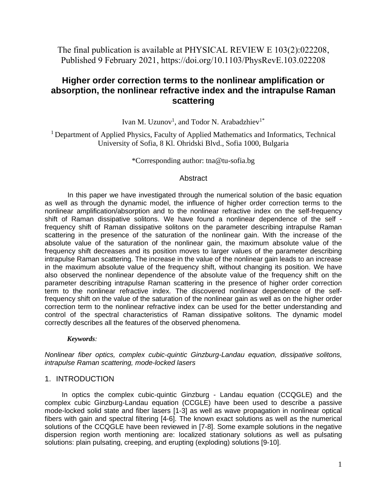The final publication is available at PHYSICAL REVIEW E 103(2):022208, Published 9 February 2021, https://doi.org/10.1103/PhysRevE.103.022208

# **Higher order correction terms to the nonlinear amplification or absorption, the nonlinear refractive index and the intrapulse Raman scattering**

Ivan M. Uzunov<sup>1</sup>, and Todor N. Arabadzhiev<sup>1\*</sup>

<sup>1</sup> Department of Applied Physics, Faculty of Applied Mathematics and Informatics, Technical University of Sofia, 8 Kl. Ohridski Blvd., Sofia 1000, Bulgaria

\*Corresponding author: tna@tu-sofia.bg

### Abstract

In this paper we have investigated through the numerical solution of the basic equation as well as through the dynamic model, the influence of higher order correction terms to the nonlinear amplification/absorption and to the nonlinear refractive index on the self-frequency shift of Raman dissipative solitons. We have found a nonlinear dependence of the self frequency shift of Raman dissipative solitons on the parameter describing intrapulse Raman scattering in the presence of the saturation of the nonlinear gain. With the increase of the absolute value of the saturation of the nonlinear gain, the maximum absolute value of the frequency shift decreases and its position moves to larger values of the parameter describing intrapulse Raman scattering. The increase in the value of the nonlinear gain leads to an increase in the maximum absolute value of the frequency shift, without changing its position. We have also observed the nonlinear dependence of the absolute value of the frequency shift on the parameter describing intrapulse Raman scattering in the presence of higher order correction term to the nonlinear refractive index. The discovered nonlinear dependence of the selffrequency shift on the value of the saturation of the nonlinear gain as well as on the higher order correction term to the nonlinear refractive index can be used for the better understanding and control of the spectral characteristics of Raman dissipative solitons. The dynamic model correctly describes all the features of the observed phenomena.

#### *Keywords:*

*Nonlinear fiber optics, complex cubic-quintic Ginzburg-Landau equation, dissipative solitons, intrapulse Raman scattering, mode-locked lasers*

## 1. INTRODUCTION

In optics the complex cubic-quintic Ginzburg - Landau equation (CCQGLE) and the complex cubic Ginzburg-Landau equation (CCGLE) have been used to describe a passive mode-locked solid state and fiber lasers [1-3] as well as wave propagation in nonlinear optical fibers with gain and spectral filtering [4-6]. The known exact solutions as well as the numerical solutions of the CCQGLE have been reviewed in [7-8]. Some example solutions in the negative dispersion region worth mentioning are: localized stationary solutions as well as pulsating solutions: plain pulsating, creeping, and erupting (exploding) solutions [9-10].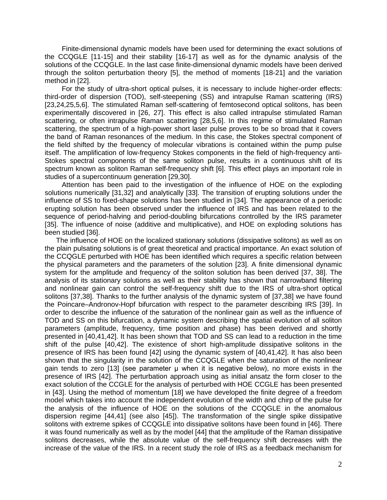Finite-dimensional dynamic models have been used for determining the exact solutions of the CCQGLE [11-15] and their stability [16-17] as well as for the dynamic analysis of the solutions of the CCQGLE. In the last case finite-dimensional dynamic models have been derived through the soliton perturbation theory [5], the method of moments [18-21] and the variation method in [22].

For the study of ultra-short optical pulses, it is necessary to include higher-order effects: third-order of dispersion (TOD), self-steepening (SS) and intrapulse Raman scattering (IRS) [23,24,25,5,6]. The stimulated Raman self-scattering of femtosecond optical solitons, has been experimentally discovered in [26, 27]. This effect is also called intrapulse stimulated Raman scattering, or often intrapulse Raman scattering [28,5,6]. In this regime of stimulated Raman scattering, the spectrum of a high-power short laser pulse proves to be so broad that it covers the band of Raman resonances of the medium. In this case, the Stokes spectral component of the field shifted by the frequency of molecular vibrations is contained within the pump pulse itself. The amplification of low-frequency Stokes components in the field of high-frequency anti-Stokes spectral components of the same soliton pulse, results in a continuous shift of its spectrum known as soliton Raman self-frequency shift [6]. This effect plays an important role in studies of a supercontinuum generation [29,30].

Attention has been paid to the investigation of the influence of HOE on the exploding solutions numerically [31,32] and analytically [33]. The transition of erupting solutions under the influence of SS to fixed-shape solutions has been studied in [34]. The appearance of a periodic erupting solution has been observed under the influence of IRS and has been related to the sequence of period-halving and period-doubling bifurcations controlled by the IRS parameter [35]. The influence of noise (additive and multiplicative), and HOE on exploding solutions has been studied [36].

The influence of HOE on the localized stationary solutions (dissipative solitons) as well as on the plain pulsating solutions is of great theoretical and practical importance. An exact solution of the CCQGLE perturbed with HOE has been identified which requires a specific relation between the physical parameters and the parameters of the solution [23]. A finite dimensional dynamic system for the amplitude and frequency of the soliton solution has been derived [37, 38]. The analysis of its stationary solutions as well as their stability has shown that narrowband filtering and nonlinear gain can control the self-frequency shift due to the IRS of ultra-short optical solitons [37,38]. Thanks to the further analysis of the dynamic system of [37,38] we have found the Poincare–Andronov-Hopf bifurcation with respect to the parameter describing IRS [39]. In order to describe the influence of the saturation of the nonlinear gain as well as the influence of TOD and SS on this bifurcation, a dynamic system describing the spatial evolution of all soliton parameters (amplitude, frequency, time position and phase) has been derived and shortly presented in [40,41,42]. It has been shown that TOD and SS can lead to a reduction in the time shift of the pulse [40,42]. The existence of short high-amplitude dissipative solitons in the presence of IRS has been found [42] using the dynamic system of [40,41,42]. It has also been shown that the singularity in the solution of the CCQGLE when the saturation of the nonlinear gain tends to zero [13] (see parameter μ when it is negative below), no more exists in the presence of IRS [42]. The perturbation approach using as initial ansatz the form closer to the exact solution of the CCGLE for the analysis of perturbed with HOE CCGLE has been presented in [43]. Using the method of momentum [18] we have developed the finite degree of a freedom model which takes into account the independent evolution of the width and chirp of the pulse for the analysis of the influence of HOE on the solutions of the CCQGLE in the anomalous dispersion regime [44,41] (see also [45]). The transformation of the single spike dissipative solitons with extreme spikes of CCQGLE into dissipative solitons have been found in [46]. There it was found numerically as well as by the model [44] that the amplitude of the Raman dissipative solitons decreases, while the absolute value of the self-frequency shift decreases with the increase of the value of the IRS. In a recent study the role of IRS as a feedback mechanism for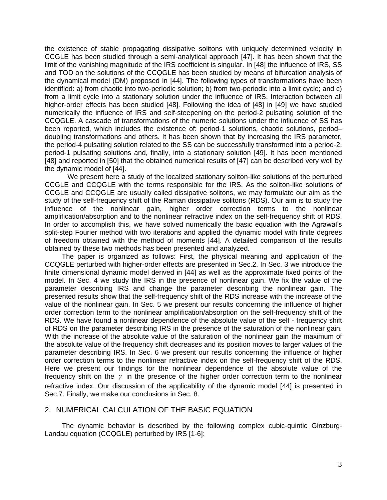the existence of stable propagating dissipative solitons with uniquely determined velocity in CCGLE has been studied through a semi-analytical approach [47]. It has been shown that the limit of the vanishing magnitude of the IRS coefficient is singular. In [48] the influence of IRS, SS and TOD on the solutions of the CCQGLE has been studied by means of bifurcation analysis of the dynamical model (DM) proposed in [44]. The following types of transformations have been identified: a) from chaotic into two-periodic solution; b) from two-periodic into a limit cycle; and c) from a limit cycle into a stationary solution under the influence of IRS. Interaction between all higher-order effects has been studied [48]. Following the idea of [48] in [49] we have studied numerically the influence of IRS and self-steepening on the period-2 pulsating solution of the CCQGLE. A cascade of transformations of the numeric solutions under the influence of SS has been reported, which includes the existence of: period-1 solutions, chaotic solutions, period– doubling transformations and others. It has been shown that by increasing the IRS parameter, the period-4 pulsating solution related to the SS can be successfully transformed into a period-2, period-1 pulsating solutions and, finally, into a stationary solution [49]. It has been mentioned [48] and reported in [50] that the obtained numerical results of [47] can be described very well by the dynamic model of [44].

We present here a study of the localized stationary soliton-like solutions of the perturbed CCGLE and CCQGLE with the terms responsible for the IRS. As the soliton-like solutions of CCGLE and CCQGLE are usually called dissipative solitons, we may formulate our aim as the study of the self-frequency shift of the Raman dissipative solitons (RDS). Our aim is to study the influence of the nonlinear gain, higher order correction terms to the nonlinear amplification/absorption and to the nonlinear refractive index on the self-frequency shift of RDS. In order to accomplish this, we have solved numerically the basic equation with the Agrawal's split-step Fourier method with two iterations and applied the dynamic model with finite degrees of freedom obtained with the method of moments [44]. A detailed comparison of the results obtained by these two methods has been presented and analyzed.

The paper is organized as follows: First, the physical meaning and application of the CCQGLE perturbed with higher-order effects are presented in Sec.2. In Sec. 3 we introduce the finite dimensional dynamic model derived in [44] as well as the approximate fixed points of the model. In Sec. 4 we study the IRS in the presence of nonlinear gain. We fix the value of the parameter describing IRS and change the parameter describing the nonlinear gain. The presented results show that the self-frequency shift of the RDS increase with the increase of the value of the nonlinear gain. In Sec. 5 we present our results concerning the influence of higher order correction term to the nonlinear amplification/absorption on the self-frequency shift of the RDS. We have found a nonlinear dependence of the absolute value of the self - frequency shift of RDS on the parameter describing IRS in the presence of the saturation of the nonlinear gain. With the increase of the absolute value of the saturation of the nonlinear gain the maximum of the absolute value of the frequency shift decreases and its position moves to larger values of the parameter describing IRS. In Sec. 6 we present our results concerning the influence of higher order correction terms to the nonlinear refractive index on the self-frequency shift of the RDS. Here we present our findings for the nonlinear dependence of the absolute value of the frequency shift on the  $\gamma$  in the presence of the higher order correction term to the nonlinear refractive index. Our discussion of the applicability of the dynamic model [44] is presented in Sec.7. Finally, we make our conclusions in Sec. 8.

### 2. NUMERICAL CALCULATION OF THE BASIC EQUATION

The dynamic behavior is described by the following complex cubic-quintic Ginzburg-Landau equation (CCQGLE) perturbed by IRS [1-6]: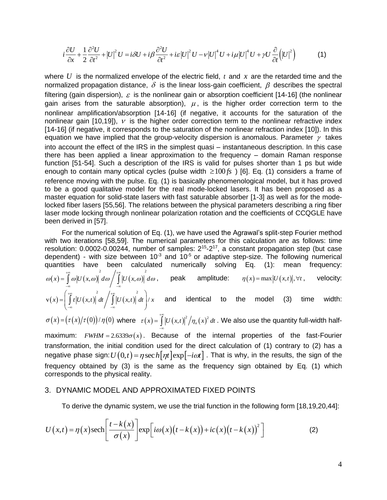$$
i\frac{\partial U}{\partial x} + \frac{1}{2}\frac{\partial^2 U}{\partial t^2} + |U|^2 U = i\delta U + i\beta \frac{\partial^2 U}{\partial t^2} + i\varepsilon |U|^2 U - \nu |U|^4 U + i\mu |U|^4 U + \gamma U \frac{\partial}{\partial t} (|U|^2)
$$
 (1)

where  $U$  is the normalized envelope of the electric field,  $t$  and  $x$  are the retarded time and the normalized propagation distance,  $\delta$  is the linear loss-gain coefficient,  $\beta$  describes the spectral filtering (gain dispersion),  $\varepsilon$  is the nonlinear gain or absorption coefficient [14-16] (the nonlinear gain arises from the saturable absorption),  $\mu$ , is the higher order correction term to the nonlinear amplification/absorption [14-16] (if negative, it accounts for the saturation of the nonlinear gain [10,19]),  $\nu$  is the higher order correction term to the nonlinear refractive index [14-16] (if negative, it corresponds to the saturation of the nonlinear refraction index [10]). In this equation we have implied that the group-velocity dispersion is anomalous. Parameter  $\gamma$  takes into account the effect of the IRS in the simplest quasi – instantaneous description. In this case there has been applied a linear approximation to the frequency – domain Raman response function [51-54]. Such a description of the IRS is valid for pulses shorter than 1 ps but wide enough to contain many optical cycles (pulse width  $\geq 100 \text{fs}$ ) [6]. Eq. (1) considers a frame of reference moving with the pulse. Eq. (1) is basically phenomenological model, but it has proved to be a good qualitative model for the real mode-locked lasers. It has been proposed as a master equation for solid-state lasers with fast saturable absorber [1-3] as well as for the modelocked fiber lasers [55,56]. The relations between the physical parameters describing a ring fiber laser mode locking through nonlinear polarization rotation and the coefficients of CCQGLE have been derived in [57].

For the numerical solution of Eq. (1), we have used the Agrawal's split-step Fourier method with two iterations [58,59]. The numerical parameters for this calculation are as follows: time resolution:  $0.0002$ -0.00244, number of samples:  $2^{15}$ - $2^{17}$ , a constant propagation step (but case dependent) - with size between  $10<sup>-3</sup>$  and  $10<sup>-5</sup>$  or adaptive step-size. The following numerical quantities have been calculated numerically solving Eq. (1): mean frequency:  $(x) = | \omega |U(x, \omega) | d\omega / |U(x, \omega)|$ quantities have been calculated<br>  $\omega(x) = \int_0^{\infty} \omega |U(x, \omega)|^2 d\omega / \int_0^{\infty} |U(x, \omega)|^2 d\omega$ , tities have been calculations  $=\int_{-\infty}^{+\infty}\omega|U(x,\omega)|^2d\omega\Bigg/\int_{-\infty}^{+\infty}|U(x,\omega)|^2$ , peak amplitude:  $\eta(x) = \max |U(x,t)|, \forall t$ , , velocity:  $(x) = |t| U(x,t) | dt | |U(x,t)|$  $v(x) = \left(\int_{0}^{+\infty} t \left| U(x,t) \right|^{2} dt / \int_{0}^{+\infty} \left| U(x,t) \right|^{2} dt \right) / x$  $\int_{-\infty}^{\infty}$   $\int_{-\infty}^{\infty}$   $\int_{-\infty}^{\infty}$   $\int_{-\infty}^{\infty}$   $\int_{-\infty}^{\infty}$  $=\left(\int_{-\infty}^{+\infty}t\left|U\left(x,t\right)\right|^{2}dt/\int_{-\infty}^{+\infty}\left|U\left(x,t\right)\right|^{2}dt\right)/x$ and identical to the model (3) time width:

$$
\sigma(x) = \left(\frac{\tau(x)}{\tau(0)}\right)/\eta(0)
$$
 where  $\tau(x) = \int_{-\infty}^{+\infty} \left|U(x,t)\right|^2 / \eta_n(x)^2 dt$ . We also use the quantity full-width half-

maximum:  $FWHM = 2.6339\sigma(x)$ . Because of the internal properties of the fast-Fourier transformation, the initial condition used for the direct calculation of (1) contrary to (2) has a transformation, the initial condition used for the direct calculation of (1) contrary to (2) has a<br>negative phase sign: $U\big(0,t\big)\!=\!\eta\sec h\big[\eta t\big]\!\exp\!\big[-i\omega t\big]$  . That is why, in the results, the sign of the frequency obtained by (3) is the same as the frequency sign obtained by Eq. (1) which corresponds to the physical reality.

#### 3. DYNAMIC MODEL AND APPROXIMATED FIXED POINTS

To derive the dynamic system, we use the trial function in the following form [18,19,20,44]:  
\n
$$
U(x,t) = \eta(x) \text{sech}\left[\frac{t-k(x)}{\sigma(x)}\right] \exp\left[i\omega(x)\left(t-k(x)\right)+ic(x)\left(t-k(x)\right)^{2}\right]
$$
\n(2)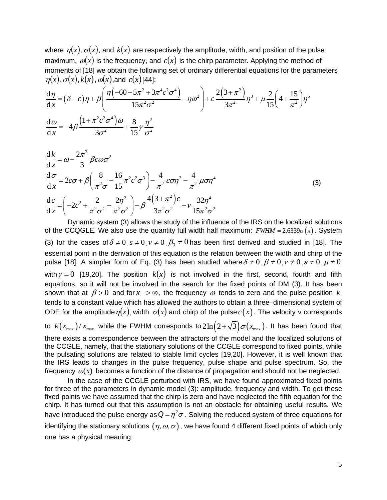where  $\eta(x),\sigma(x),$  and  $k(x)$  are respectively the amplitude, width, and position of the pulse maximum,  $\omega(x)$  is the frequency, and  $c(x)$  is the chirp parameter. Applying the method of moments of [18] we obtain the following set of ordinary differential equations for the parameters  $\eta(x)$ ,  $\sigma(x)$ ,  $k(x)$ ,  $\omega(x)$ , and  $c(x)$  [44]:<br>
dn  $\sigma(x) = \left( \eta(-60 - 5\pi^2 + 3\pi^4 c^2 \sigma^4) \right) = 2(3 + \pi^2)$   $\left( \eta(3 + \pi^2) \right)$  $\eta(x),\sigma(x),k(x),\omega(x)$ , and  $c(x)$  [44]: maximum,  $\omega(x)$  is the frequency, and  $c(x)$  is the chirp parameter. Applying the moments of [18] we obtain the following set of ordinary differential equations for the  $\eta(x)$ ,  $\sigma(x)$ ,  $k(x)$ ,  $\omega(x)$ , and  $c(x)$ [44]:<br> $\frac{d\eta$ um,  $\omega(x)$  is the frequency, and  $c(x)$  is the chirp parameter. Applying the method of<br>the of [18] we obtain the following set of ordinary differential equations for the parameters<br> $\tau(x)$ ,  $k(x)$ ,  $\omega(x)$ , and  $c(x)$ [44]:<br> $\delta$ 

moments of [18] we obtain the following set of ordinary differential equations for the parameters  
\n
$$
\eta(x)
$$
,  $\sigma(x)$ ,  $k(x)$ ,  $\omega(x)$ , and  $c(x)$ [44]:  
\n
$$
\frac{d\eta}{dx} = (\delta - c)\eta + \beta \left( \frac{\eta(-60 - 5\pi^2 + 3\pi^4 c^2 \sigma^4)}{15\pi^2 \sigma^2} - \eta \omega^2 \right) + \varepsilon \frac{2(3 + \pi^2)}{3\pi^2} \eta^3 + \mu \frac{2}{15} \left( 4 + \frac{15}{\pi^2} \right) \eta^5
$$
\n
$$
\frac{d\omega}{dx} = -4\beta \frac{\left(1 + \pi^2 c^2 \sigma^4\right) \omega}{3\sigma^2} + \frac{8}{15} \gamma \frac{\eta^2}{\sigma^2}
$$

$$
\frac{dk}{dx} = \omega - \frac{2\pi^2}{3} \beta c \omega \sigma^2
$$
\n
$$
\frac{d\sigma}{dx} = 2c\sigma + \beta \left( \frac{8}{\pi^2 \sigma} - \frac{16}{15} \pi^2 c^2 \sigma^3 \right) - \frac{4}{\pi^2} \varepsilon \sigma \eta^2 - \frac{4}{\pi^2} \mu \sigma \eta^4
$$
\n
$$
\frac{dc}{dx} = \left( -2c^2 + \frac{2}{\pi^2 \sigma^4} - \frac{2\eta^2}{\pi^2 \sigma^2} \right) - \beta \frac{4(3+\pi^2)c}{3\pi^2 \sigma^2} - \gamma \frac{32\eta^4}{15\pi^2 \sigma^2}
$$
\n(3)

Dynamic system (3) allows the study of the influence of the IRS on the localized solutions of the CCQGLE. We also use the quantity full width half maximum:  $FWHM = 2.6339\sigma(x)$ . System (3) for the cases of  $\delta \neq 0$ ,  $s \neq 0$ ,  $\nu \neq 0$ ,  $\beta_3 \neq 0$  has been first derived and studied in [18]. The essential point in the derivation of this equation is the relation between the width and chirp of the pulse [18]. A simpler form of Eq. (3) has been studied where  $\delta \neq 0$   $\beta \neq 0$   $\nu \neq 0$   $\varepsilon \neq 0$   $\mu \neq 0$ with  $\gamma = 0$  [19,20]. The position  $k(x)$  is not involved in the first, second, fourth and fifth equations, so it will not be involved in the search for the fixed points of DM (3). It has been shown that at  $\beta > 0$  and for x- $> \infty$ , the frequency  $\omega$  tends to zero and the pulse position k tends to a constant value which has allowed the authors to obtain a three–dimensional system of ODE for the amplitude  $\eta(x)$ , width  $\sigma(x)$  and chirp of the pulse  $c(x)$ . The velocity v corresponds to  $k(x_{\text{max}})/x_{\text{max}}$  while the FWHM corresponds to $2\ln\bigl(2\!+\!\sqrt{3}\bigr)\sigma(x_{\text{max}})$ . It has been found that there exists a correspondence between the attractors of the model and the localized solutions of the CCGLE, namely, that the stationary solutions of the CCGLE correspond to fixed points, while

the pulsating solutions are related to stable limit cycles [19,20]. However, it is well known that the IRS leads to changes in the pulse frequency, pulse shape and pulse spectrum. So, the frequency  $\omega(x)$  becomes a function of the distance of propagation and should not be neglected.

In the case of the CCGLE perturbed with IRS, we have found approximated fixed points for three of the parameters in dynamic model (3): amplitude, frequency and width. To get these fixed points we have assumed that the chirp is zero and have neglected the fifth equation for the chirp. It has turned out that this assumption is not an obstacle for obtaining useful results. We have introduced the pulse energy as  $Q$  =  $\eta^2\sigma$  . Solving the reduced system of three equations for identifying the stationary solutions  $(\eta,\omega,\sigma)$  , we have found 4 different fixed points of which only one has a physical meaning: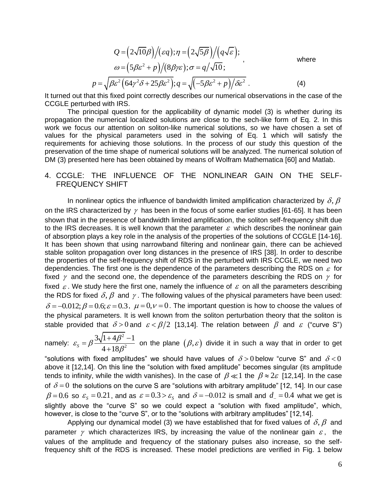$$
Q = (2\sqrt{10}\beta)/(\varepsilon q); \eta = (2\sqrt{5}\beta)/(q\sqrt{\varepsilon});
$$
  
\n
$$
\omega = (5\beta\varepsilon^2 + p)/(8\beta\gamma\varepsilon); \sigma = q/\sqrt{10};
$$
  
\nwhere  
\n
$$
p = \sqrt{\beta\varepsilon^2(64\gamma^2\delta + 25\beta\varepsilon^2)}; q = \sqrt{(-5\beta\varepsilon^2 + p)/\delta\varepsilon^2}.
$$
 (4)

It turned out that this fixed point correctly describes our numerical observations in the case of the CCGLE perturbed with IRS.

The principal question for the applicability of dynamic model (3) is whether during its propagation the numerical localized solutions are close to the sech-like form of Eq. 2. In this work we focus our attention on soliton-like numerical solutions, so we have chosen a set of values for the physical parameters used in the solving of Eq. 1 which will satisfy the requirements for achieving those solutions. In the process of our study this question of the preservation of the time shape of numerical solutions will be analyzed. The numerical solution of DM (3) presented here has been obtained by means of Wolfram Mathematica [60] and Matlab.

#### 4. CCGLE: THE INFLUENCE OF THE NONLINEAR GAIN ON THE SELF-FREQUENCY SHIFT

In nonlinear optics the influence of bandwidth limited amplification characterized by  $\delta, \beta$ on the IRS characterized by  $\gamma$  has been in the focus of some earlier studies [61-65]. It has been shown that in the presence of bandwidth limited amplification, the soliton self-frequency shift due to the IRS decreases. It is well known that the parameter  $\varepsilon$  which describes the nonlinear gain of absorption plays a key role in the analysis of the properties of the solutions of CCGLE [14-16]. It has been shown that using narrowband filtering and nonlinear gain, there can be achieved stable soliton propagation over long distances in the presence of IRS [38]. In order to describe the properties of the self-frequency shift of RDS in the perturbed with IRS CCGLE, we need two dependencies. The first one is the dependence of the parameters describing the RDS on  $\varepsilon$  for fixed  $\gamma$  and the second one, the dependence of the parameters describing the RDS on  $\gamma$  for fixed  $\varepsilon$ . We study here the first one, namely the influence of  $\varepsilon$  on all the parameters describing the RDS for fixed  $\delta, \beta$  and  $\gamma$  . The following values of the physical parameters have been used:  $\delta = -0.012; \beta = 0.6; \varepsilon = 0.3$ ,  $\mu = 0, \nu = 0$ . The important question is how to choose the values of the physical parameters. It is well known from the soliton perturbation theory that the soliton is stable provided that  $\delta > 0$  and  $\epsilon < \beta/2$  [13,14]. The relation between  $\beta$  and  $\epsilon$  ("curve S")

namely: 2 2  $3\sqrt{1+4\beta^2}-1$  $s = p \frac{ }{4 + 18}$  $\varepsilon_{\rm s} = \beta \frac{3\sqrt{1+4\beta}}{1-12\beta}$  $\beta^{\cdot}$  $=\beta \frac{3\sqrt{1+4\beta^2}-1}{1+\beta^2}$ + on the plane  $(\beta,\varepsilon)$  divide it in such a way that in order to get

"solutions with fixed amplitudes" we should have values of  $\delta$  > 0 below "curve S" and  $\delta$  < 0 above it [12,14]. On this line the "solution with fixed amplitude" becomes singular (its amplitude tends to infinity, while the width vanishes). In the case of  $\beta \ll 1$  the  $\beta \approx 2\varepsilon$  [12,14]. In the case of  $\delta$  = 0 the solutions on the curve S are "solutions with arbitrary amplitude" [12, 14]. In our case  $\beta$  = 0.6 so  $\varepsilon_s$  = 0.21, and as  $\varepsilon$  = 0.3 >  $\varepsilon_s$  and  $\delta$  = -0.012 is small and  $d_{\scriptscriptstyle{-}}$  = 0.4 what we get is slightly above the "curve S" so we could expect a "solution with fixed amplitude", which, however, is close to the "curve S", or to the "solutions with arbitrary amplitudes" [12,14].

Applying our dynamical model (3) we have established that for fixed values of  $\delta, \beta$  and parameter  $\gamma$  which characterizes IRS, by increasing the value of the nonlinear gain  $\varepsilon$ , the values of the amplitude and frequency of the stationary pulses also increase, so the selffrequency shift of the RDS is increased. These model predictions are verified in Fig. 1 below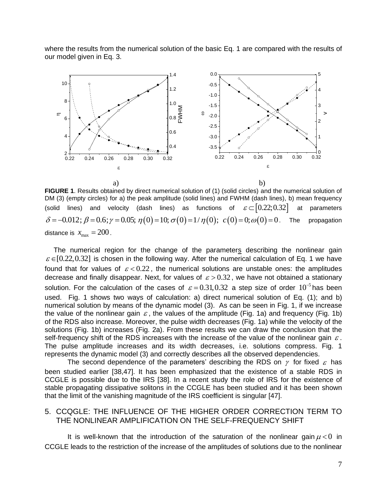where the results from the numerical solution of the basic Eq. 1 are compared with the results of our model given in Eq. 3.



FIGURE 1. Results obtained by direct numerical solution of (1) (solid circles) and the numerical solution of DM (3) (empty circles) for a) the peak amplitude (solid lines) and FWHM (dash lines), b) mean frequency (solid lines) and velocity (dash lines) as functions of  $\varepsilon \subset [0.22;0.32]$ at parameters  $\delta = -0.012$ ;  $\beta = 0.6$ ;  $\gamma = 0.05$ ;  $\eta(0) = 10$ ;  $\sigma(0) = 1/\eta(0)$ ;  $c(0) = 0$ ;  $\omega(0) = 0$ . The propagation distance is  $x_{\text{max}} = 200$ .

The numerical region for the change of the parameters describing the nonlinear gain  $\varepsilon \in [0.22, 0.32]$  is chosen in the following way. After the numerical calculation of Eq. 1 we have found that for values of  $\varepsilon < 0.22$ , the numerical solutions are unstable ones: the amplitudes decrease and finally disappear. Next, for values of  $\varepsilon > 0.32$ , we have not obtained a stationary solution. For the calculation of the cases of  $\varepsilon = 0.31, 0.32$  a step size of order  $10^{-5}$  has been used. Fig. 1 shows two ways of calculation: a) direct numerical solution of Eq. (1); and b) numerical solution by means of the dynamic model (3). As can be seen in Fig. 1, if we increase the value of the nonlinear gain  $\varepsilon$ , the values of the amplitude (Fig. 1a) and frequency (Fig. 1b) of the RDS also increase. Moreover, the pulse width decreases (Fig. 1a) while the velocity of the solutions (Fig. 1b) increases (Fig. 2a). From these results we can draw the conclusion that the self-frequency shift of the RDS increases with the increase of the value of the nonlinear gain  $\varepsilon$ . The pulse amplitude increases and its width decreases, i.e. solutions compress. Fig. 1 represents the dynamic model (3) and correctly describes all the observed dependencies.

The second dependence of the parameters' describing the RDS on  $\gamma$  for fixed  $\varepsilon$  has been studied earlier [38,47]. It has been emphasized that the existence of a stable RDS in CCGLE is possible due to the IRS [38]. In a recent study the role of IRS for the existence of stable propagating dissipative solitons in the CCGLE has been studied and it has been shown that the limit of the vanishing magnitude of the IRS coefficient is singular [47].

#### 5. CCQGLE: THE INFLUENCE OF THE HIGHER ORDER CORRECTION TERM TO THE NONLINEAR AMPLIFICATION ON THE SELF-FREQUENCY SHIFT

It is well-known that the introduction of the saturation of the nonlinear gain  $\mu < 0$  in CCGLE leads to the restriction of the increase of the amplitudes of solutions due to the nonlinear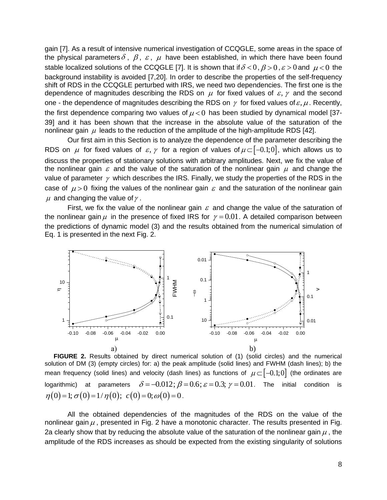gain [7]. As a result of intensive numerical investigation of CCQGLE, some areas in the space of the physical parameters  $\delta$ ,  $\beta$ ,  $\varepsilon$ ,  $\mu$  have been established, in which there have been found stable localized solutions of the CCQGLE [7]. It is shown that if  $\delta$  < 0,  $\beta$  > 0,  $\varepsilon$  > 0 and  $\mu$  < 0 the background instability is avoided [7,20]. In order to describe the properties of the self-frequency shift of RDS in the CCQGLE perturbed with IRS, we need two dependencies. The first one is the dependence of magnitudes describing the RDS on  $\mu$  for fixed values of  $\varepsilon, \gamma$  and the second one - the dependence of magnitudes describing the RDS on  $\gamma$  for fixed values of  $\varepsilon, \mu$ . Recently, the first dependence comparing two values of  $\mu$  < 0 has been studied by dynamical model [37-39] and it has been shown that the increase in the absolute value of the saturation of the nonlinear gain  $\,\mu\,$  leads to the reduction of the amplitude of the high-amplitude RDS [42].

Our first aim in this Section is to analyze the dependence of the parameter describing the RDS on  $\mu$  for fixed values of  $\varepsilon, \gamma$  for a region of values of  $\mu \subset [-0.1;0]$ , which allows us to discuss the properties of stationary solutions with arbitrary amplitudes. Next, we fix the value of the nonlinear gain  $\varepsilon$  and the value of the saturation of the nonlinear gain  $\mu$  and change the value of parameter  $\gamma$  which describes the IRS. Finally, we study the properties of the RDS in the case of  $\mu$  > 0 fixing the values of the nonlinear gain  $\varepsilon$  and the saturation of the nonlinear gain  $\mu$  and changing the value of  $\gamma$  .

First, we fix the value of the nonlinear gain  $\varepsilon$  and change the value of the saturation of the nonlinear gain  $\mu$  in the presence of fixed IRS for  $\gamma = 0.01$ . A detailed comparison between the predictions of dynamic model (3) and the results obtained from the numerical simulation of Eq. 1 is presented in the next Fig. 2.



**FIGURE 2.** Results obtained by direct numerical solution of (1) (solid circles) and the numerical solution of DM (3) (empty circles) for: a) the peak amplitude (solid lines) and FWHM (dash lines); b) the mean frequency (solid lines) and velocity (dash lines) as functions of  $\mu \subset [-0.1;0]$  (the ordinates are logarithmic) at parameters  $\delta = -0.012$ ;  $\beta = 0.6$ ;  $\varepsilon = 0.3$ ;  $\gamma = 0.01$ . The initial condition is  $\eta(0) = 1; \sigma(0) = 1/\eta(0); c(0) = 0; \omega(0) = 0.$ 

All the obtained dependencies of the magnitudes of the RDS on the value of the nonlinear gain  $\mu$ , presented in Fig. 2 have a monotonic character. The results presented in Fig. 2a clearly show that by reducing the absolute value of the saturation of the nonlinear gain  $\mu$  , the amplitude of the RDS increases as should be expected from the existing singularity of solutions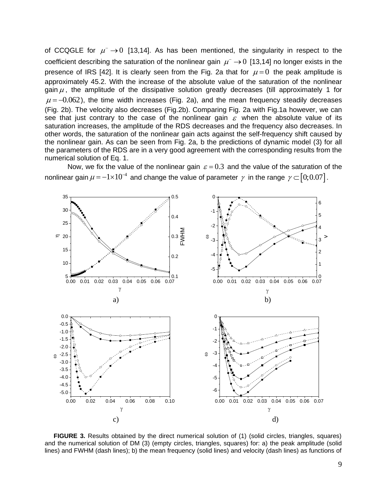of CCQGLE for  $\mu^- \rightarrow 0$  [13,14]. As has been mentioned, the singularity in respect to the coefficient describing the saturation of the nonlinear gain  $\mu^{-} \rightarrow 0$  [13,14] no longer exists in the presence of IRS [42]. It is clearly seen from the Fig. 2a that for  $\mu = 0$  the peak amplitude is approximately 45.2. With the increase of the absolute value of the saturation of the nonlinear gain  $\mu$  , the amplitude of the dissipative solution greatly decreases (till approximately 1 for  $\mu$  = -0.062), the time width increases (Fig. 2a), and the mean frequency steadily decreases (Fig. 2b). The velocity also decreases (Fig.2b). Comparing Fig. 2a with Fig.1a however, we can see that just contrary to the case of the nonlinear gain  $\varepsilon$  when the absolute value of its saturation increases, the amplitude of the RDS decreases and the frequency also decreases. In other words, the saturation of the nonlinear gain acts against the self-frequency shift caused by the nonlinear gain. As can be seen from Fig. 2a, b the predictions of dynamic model (3) for all the parameters of the RDS are in a very good agreement with the corresponding results from the numerical solution of Eq. 1.

Now, we fix the value of the nonlinear gain  $\varepsilon = 0.3$  and the value of the saturation of the nonlinear gain  $\mu\!=\!-1\!\times\!10^{\!-\!4}$  and change the value of parameter  $\,\gamma\,$  in the range  $\,\gamma\!\subset\![0;0.07]$  .



**FIGURE 3.** Results obtained by the direct numerical solution of (1) (solid circles, triangles, squares) and the numerical solution of DM (3) (empty circles, triangles, squares) for: a) the peak amplitude (solid lines) and FWHM (dash lines); b) the mean frequency (solid lines) and velocity (dash lines) as functions of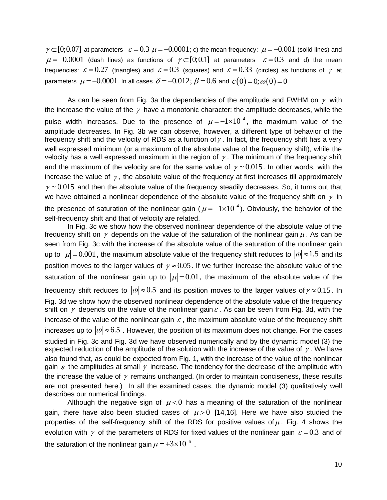$\gamma \subset [0;0.07]$  at parameters  $\varepsilon = 0.3$   $\mu = -0.0001$ ; c) the mean frequency:  $\mu = -0.001$  (solid lines) and  $\mu$  = -0.0001 (dash lines) as functions of  $\gamma$   $\subset$  [0;0.1] at parameters  $\varepsilon$  = 0.3 and d) the mean frequencies:  $\varepsilon = 0.27$  (triangles) and  $\varepsilon = 0.3$  (squares) and  $\varepsilon = 0.33$  (circles) as functions of  $\gamma$  at parameters  $\mu = -0.0001$ . In all cases  $\delta = -0.012$ ;  $\beta = 0.6$  and  $c(0) = 0$ ;  $\omega(0) = 0$ 

As can be seen from Fig. 3a the dependencies of the amplitude and FWHM on  $\gamma$  with the increase the value of the  $\gamma$  have a monotonic character: the amplitude decreases, while the pulse width increases. Due to the presence of  $\mu = -1 \times 10^{-4}$ , the maximum value of the amplitude decreases. In Fig. 3b we can observe, however, a different type of behavior of the frequency shift and the velocity of RDS as a function of  $\gamma$  . In fact, the frequency shift has a very well expressed minimum (or a maximum of the absolute value of the frequency shift), while the velocity has a well expressed maximum in the region of  $\gamma$  . The minimum of the frequency shift and the maximum of the velocity are for the same value of  $\gamma \sim 0.015$ . In other words, with the increase the value of  $\gamma$  , the absolute value of the frequency at first increases till approximately  $\gamma \sim 0.015$  and then the absolute value of the frequency steadily decreases. So, it turns out that we have obtained a nonlinear dependence of the absolute value of the frequency shift on  $\gamma$  in the presence of saturation of the nonlinear gain ( $\mu$  =  $-1\times10^{-4}$ ). Obviously, the behavior of the self-frequency shift and that of velocity are related.

In Fig. 3c we show how the observed nonlinear dependence of the absolute value of the frequency shift on  $\gamma$  depends on the value of the saturation of the nonlinear gain  $\mu$  . As can be seen from Fig. 3c with the increase of the absolute value of the saturation of the nonlinear gain up to  $|\mu|$  = 0.001, the maximum absolute value of the frequency shift reduces to  $|\omega|$   $\approx$  1.5 and its position moves to the larger values of  $\gamma \approx 0.05$ . If we further increase the absolute value of the saturation of the nonlinear gain up to  $|\mu|$  = 0.01, the maximum of the absolute value of the frequency shift reduces to  $|\omega|\!\approx\!0.5$  and its position moves to the larger values of  $\gamma\!\approx\!0.15$ . In Fig. 3d we show how the observed nonlinear dependence of the absolute value of the frequency shift on  $\gamma$  depends on the value of the nonlinear gain  $\varepsilon$ . As can be seen from Fig. 3d, with the increase of the value of the nonlinear gain  $\varepsilon$ , the maximum absolute value of the frequency shift increases up to  $|\omega| \approx 6.5$  . However, the position of its maximum does not change. For the cases studied in Fig. 3c and Fig. 3d we have observed numerically and by the dynamic model (3) the expected reduction of the amplitude of the solution with the increase of the value of  $\gamma$  . We have also found that, as could be expected from Fig. 1, with the increase of the value of the nonlinear gain  $\varepsilon$  the amplitudes at small  $\gamma$  increase. The tendency for the decrease of the amplitude with the increase the value of  $\gamma$  remains unchanged. (In order to maintain conciseness, these results are not presented here.) In all the examined cases, the dynamic model (3) qualitatively well describes our numerical findings.

Although the negative sign of  $\mu$ <0 has a meaning of the saturation of the nonlinear gain, there have also been studied cases of  $\mu > 0$  [14,16]. Here we have also studied the properties of the self-frequency shift of the RDS for positive values of  $\mu$ . Fig. 4 shows the evolution with  $\gamma$  of the parameters of RDS for fixed values of the nonlinear gain  $\varepsilon = 0.3$  and of the saturation of the nonlinear gain  $\mu$  = +3×10<sup>-6</sup>.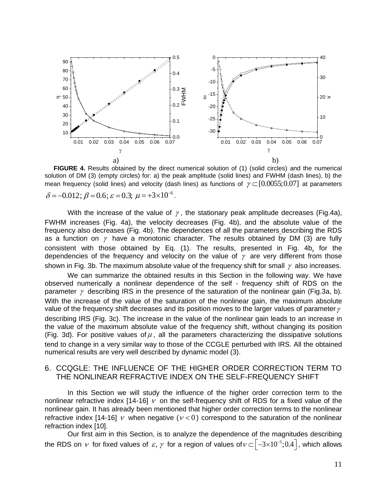

**FIGURE 4.** Results obtained by the direct numerical solution of (1) (solid circles) and the numerical solution of DM (3) (empty circles) for: a) the peak amplitude (solid lines) and FWHM (dash lines), b) the mean frequency (solid lines) and velocity (dash lines) as functions of  $\gamma$   $\subset$  [0.0055;0.07] at parameters  $\delta = -0.012$ ;  $\beta = 0.6$ ;  $\varepsilon = 0.3$ ;  $\mu = +3 \times 10^{-6}$ .

With the increase of the value of  $\gamma$ , the stationary peak amplitude decreases (Fig.4a), FWHM increases (Fig. 4a), the velocity decreases (Fig. 4b), and the absolute value of the frequency also decreases (Fig. 4b). The dependences of all the parameters describing the RDS as a function on  $\gamma$  have a monotonic character. The results obtained by DM (3) are fully consistent with those obtained by Eq. (1). The results, presented in Fig. 4b, for the dependencies of the frequency and velocity on the value of  $\gamma$  are very different from those shown in Fig. 3b. The maximum absolute value of the frequency shift for small  $\,\gamma\,$  also increases.

We can summarize the obtained results in this Section in the following way. We have observed numerically a nonlinear dependence of the self - frequency shift of RDS on the parameter  $\gamma$  describing IRS in the presence of the saturation of the nonlinear gain (Fig.3a, b). With the increase of the value of the saturation of the nonlinear gain, the maximum absolute value of the frequency shift decreases and its position moves to the larger values of parameter  $\gamma$ describing IRS (Fig. 3c). The increase in the value of the nonlinear gain leads to an increase in the value of the maximum absolute value of the frequency shift, without changing its position (Fig. 3d). For positive values of  $\mu$ , all the parameters characterizing the dissipative solutions tend to change in a very similar way to those of the CCGLE perturbed with IRS. All the obtained numerical results are very well described by dynamic model (3).

#### 6. CCQGLE: THE INFLUENCE OF THE HIGHER ORDER CORRECTION TERM TO THE NONLINEAR REFRACTIVE INDEX ON THE SELF-FREQUENCY SHIFT

In this Section we will study the influence of the higher order correction term to the nonlinear refractive index [14-16]  $\nu$  on the self-frequency shift of RDS for a fixed value of the nonlinear gain. It has already been mentioned that higher order correction terms to the nonlinear refractive index [14-16]  $\nu$  when negative ( $\nu < 0$ ) correspond to the saturation of the nonlinear refraction index [10].

Our first aim in this Section, is to analyze the dependence of the magnitudes describing the RDS on  $\,\nu\,$  for fixed values of  $\,\varepsilon,\,\gamma\,$  for a region of values of $\,\nu\!\subset\!\left[-3\!\times\!10^{-5};0.4\right],$  which allows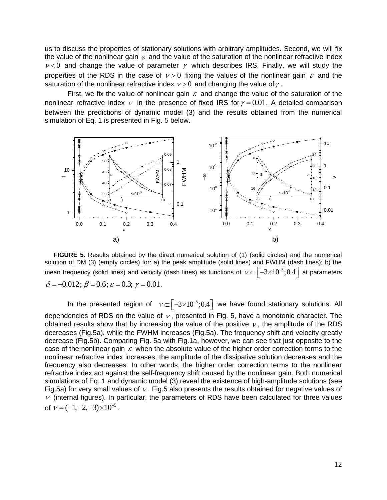us to discuss the properties of stationary solutions with arbitrary amplitudes. Second, we will fix the value of the nonlinear gain  $\varepsilon$  and the value of the saturation of the nonlinear refractive index  $v < 0$  and change the value of parameter  $\gamma$  which describes IRS. Finally, we will study the properties of the RDS in the case of  $v > 0$  fixing the values of the nonlinear gain  $\varepsilon$  and the saturation of the nonlinear refractive index  $\nu > 0$  and changing the value of  $\gamma$ .

First, we fix the value of nonlinear gain  $\varepsilon$  and change the value of the saturation of the nonlinear refractive index  $\nu$  in the presence of fixed IRS for  $\gamma = 0.01$ . A detailed comparison between the predictions of dynamic model (3) and the results obtained from the numerical simulation of Eq. 1 is presented in Fig. 5 below.



**FIGURE 5.** Results obtained by the direct numerical solution of (1) (solid circles) and the numerical solution of DM (3) (empty circles) for: a) the peak amplitude (solid lines) and FWHM (dash lines); b) the mean frequency (solid lines) and velocity (dash lines) as functions of  $\,\nu\!\subset\!\left[-3\!\times\!10^{-5};0.4\right]\,$  at parameters  $\delta = -0.012$ ;  $\beta = 0.6$ ;  $\varepsilon = 0.3$ ;  $\gamma = 0.01$ .

In the presented region of  $v\subset [-3\times 10^{-5};0.4]$  we have found stationary solutions. All dependencies of RDS on the value of  $\nu$ , presented in Fig. 5, have a monotonic character. The obtained results show that by increasing the value of the positive  $\nu$ , the amplitude of the RDS decreases (Fig.5a), while the FWHM increases (Fig.5a). The frequency shift and velocity greatly decrease (Fig.5b). Comparing Fig. 5a with Fig.1a, however, we can see that just opposite to the case of the nonlinear gain  $\varepsilon$  when the absolute value of the higher order correction terms to the nonlinear refractive index increases, the amplitude of the dissipative solution decreases and the frequency also decreases. In other words, the higher order correction terms to the nonlinear refractive index act against the self-frequency shift caused by the nonlinear gain. Both numerical simulations of Eq. 1 and dynamic model (3) reveal the existence of high-amplitude solutions (see Fig.5a) for very small values of  $\nu$ . Fig.5 also presents the results obtained for negative values of  $\nu$  (internal figures). In particular, the parameters of RDS have been calculated for three values of  $v = (-1, -2, -3) \times 10^{-5}$ .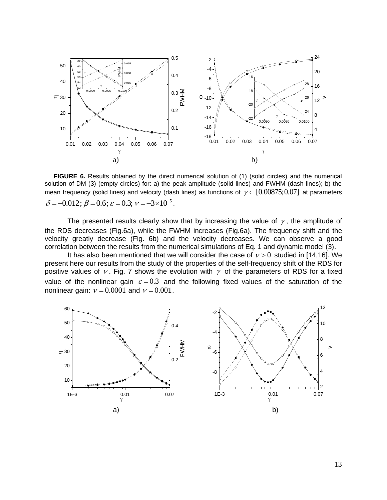

**FIGURE 6.** Results obtained by the direct numerical solution of (1) (solid circles) and the numerical solution of DM (3) (empty circles) for: a) the peak amplitude (solid lines) and FWHM (dash lines); b) the mean frequency (solid lines) and velocity (dash lines) as functions of  $\gamma$   $\subset$  [0.00875;0.07] at parameters  $\delta = -0.012$ ;  $\beta = 0.6$ ;  $\varepsilon = 0.3$ ;  $v = -3 \times 10^{-5}$ .

The presented results clearly show that by increasing the value of  $\gamma$ , the amplitude of the RDS decreases (Fig.6a), while the FWHM increases (Fig.6a). The frequency shift and the velocity greatly decrease (Fig. 6b) and the velocity decreases. We can observe a good correlation between the results from the numerical simulations of Eq. 1 and dynamic model (3).

It has also been mentioned that we will consider the case of  $v > 0$  studied in [14,16]. We present here our results from the study of the properties of the self-frequency shift of the RDS for positive values of v. Fig. 7 shows the evolution with  $\gamma$  of the parameters of RDS for a fixed value of the nonlinear gain  $\varepsilon = 0.3$  and the following fixed values of the saturation of the nonlinear gain:  $v = 0.0001$  and  $v = 0.001$ .

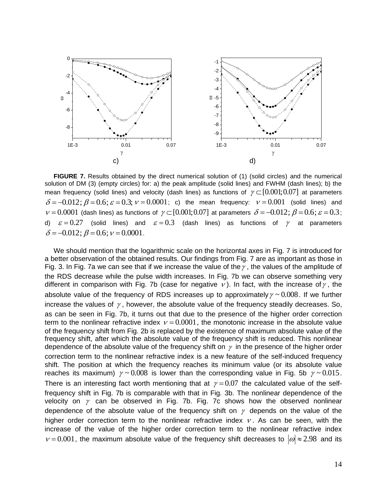

**FIGURE 7.** Results obtained by the direct numerical solution of (1) (solid circles) and the numerical solution of DM (3) (empty circles) for: a) the peak amplitude (solid lines) and FWHM (dash lines); b) the mean frequency (solid lines) and velocity (dash lines) as functions of  $\gamma\!\subset\![0.001;0.07]$  at parameters mean frequency (solid lines) and velocity (dash lines) as functions of  $\gamma \in [0.001, 0.07]$  at parameters  $\delta = -0.012$ ;  $\beta = 0.6$ ;  $\varepsilon = 0.3$ ;  $\nu = 0.0001$ ; c) the mean frequency:  $\nu = 0.001$  (solid lines) and  $\sigma$  = -0.012,  $\rho$  = 0.0,  $\varepsilon$  = 0.3,  $\nu$  = 0.0001, c) the mean nequency.  $\nu$  = 0.001 (solid lines) and  $\nu$  = 0.0001 (dash lines) as functions of  $\gamma$   $\subset$  [0.001;0.07] at parameters  $\delta$  = -0.012;  $\beta$  = 0.6;  $\varepsilon$  d)  $\varepsilon = 0.27$  (solid lines) and  $\varepsilon = 0.3$  (dash lines) as functions of  $\gamma$  at parameters  $\delta = -0.012$ ;  $\beta = 0.6$ ;  $v = 0.0001$ .

We should mention that the logarithmic scale on the horizontal axes in Fig. 7 is introduced for a better observation of the obtained results. Our findings from Fig. 7 are as important as those in Fig. 3. In Fig. 7a we can see that if we increase the value of the  $\gamma$ , the values of the amplitude of the RDS decrease while the pulse width increases. In Fig. 7b we can observe something very different in comparison with Fig. 7b (case for negative  $\nu$ ). In fact, with the increase of  $\gamma$ , the absolute value of the frequency of RDS increases up to approximately  $\gamma \sim 0.008$ . If we further increase the values of  $\gamma$ , however, the absolute value of the frequency steadily decreases. So, as can be seen in Fig. 7b, it turns out that due to the presence of the higher order correction term to the nonlinear refractive index  $v = 0.0001$ , the monotonic increase in the absolute value of the frequency shift from Fig. 2b is replaced by the existence of maximum absolute value of the frequency shift, after which the absolute value of the frequency shift is reduced. This nonlinear dependence of the absolute value of the frequency shift on  $\gamma$  in the presence of the higher order correction term to the nonlinear refractive index is a new feature of the self-induced frequency shift. The position at which the frequency reaches its minimum value (or its absolute value reaches its maximum)  $\gamma \sim 0.008$  is lower than the corresponding value in Fig. 5b  $\gamma \sim 0.015$ . There is an interesting fact worth mentioning that at  $\gamma = 0.07$  the calculated value of the selffrequency shift in Fig. 7b is comparable with that in Fig. 3b. The nonlinear dependence of the velocity on  $\gamma$  can be observed in Fig. 7b. Fig. 7c shows how the observed nonlinear dependence of the absolute value of the frequency shift on  $\gamma$  depends on the value of the higher order correction term to the nonlinear refractive index  $\nu$ . As can be seen, with the increase of the value of the higher order correction term to the nonlinear refractive index  $v = 0.001$ , the maximum absolute value of the frequency shift decreases to  $|\omega| \approx 2.98$  and its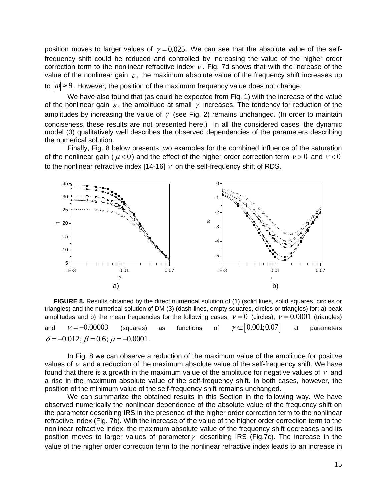position moves to larger values of  $\gamma = 0.025$ . We can see that the absolute value of the selffrequency shift could be reduced and controlled by increasing the value of the higher order correction term to the nonlinear refractive index  $\nu$ . Fig. 7d shows that with the increase of the value of the nonlinear gain  $\varepsilon$ , the maximum absolute value of the frequency shift increases up to  $|\omega|\!\approx\! 9$ . However, the position of the maximum frequency value does not change.

We have also found that (as could be expected from Fig. 1) with the increase of the value of the nonlinear gain  $\varepsilon$ , the amplitude at small  $\gamma$  increases. The tendency for reduction of the amplitudes by increasing the value of  $\gamma$  (see Fig. 2) remains unchanged. (In order to maintain conciseness, these results are not presented here.) In all the considered cases, the dynamic model (3) qualitatively well describes the observed dependencies of the parameters describing the numerical solution.

Finally, Fig. 8 below presents two examples for the combined influence of the saturation of the nonlinear gain ( $\mu$ <0) and the effect of the higher order correction term  $\nu$ >0 and  $\nu$ <0 to the nonlinear refractive index [14-16]  $\nu$  on the self-frequency shift of RDS.



**FIGURE 8.** Results obtained by the direct numerical solution of (1) (solid lines, solid squares, circles or triangles) and the numerical solution of DM (3) (dash lines, empty squares, circles or triangles) for: a) peak amplitudes and b) the mean frequencies for the following cases:  $v = 0$  (circles),  $v = 0.0001$  (triangles) and  $v = -0.00003$ (squares) as functions of  $\gamma \subset [0.001; 0.07]$ at parameters  $\delta = -0.012$ ;  $\beta = 0.6$ ;  $\mu = -0.0001$ .

In Fig. 8 we can observe a reduction of the maximum value of the amplitude for positive values of  $\nu$  and a reduction of the maximum absolute value of the self-frequency shift. We have found that there is a growth in the maximum value of the amplitude for negative values of  $\nu$  and a rise in the maximum absolute value of the self-frequency shift. In both cases, however, the position of the minimum value of the self-frequency shift remains unchanged.

We can summarize the obtained results in this Section in the following way. We have observed numerically the nonlinear dependence of the absolute value of the frequency shift on the parameter describing IRS in the presence of the higher order correction term to the nonlinear refractive index (Fig. 7b). With the increase of the value of the higher order correction term to the nonlinear refractive index, the maximum absolute value of the frequency shift decreases and its position moves to larger values of parameter  $\gamma$  describing IRS (Fig.7c). The increase in the value of the higher order correction term to the nonlinear refractive index leads to an increase in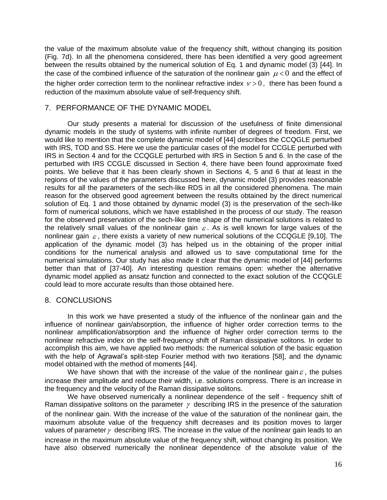the value of the maximum absolute value of the frequency shift, without changing its position (Fig. 7d). In all the phenomena considered, there has been identified a very good agreement between the results obtained by the numerical solution of Eq. 1 and dynamic model (3) [44]. In the case of the combined influence of the saturation of the nonlinear gain  $\mu$  < 0 and the effect of the higher order correction term to the nonlinear refractive index  $v > 0$ , there has been found a reduction of the maximum absolute value of self-frequency shift.

## 7. PERFORMANCE OF THE DYNAMIC MODEL

Our study presents a material for discussion of the usefulness of finite dimensional dynamic models in the study of systems with infinite number of degrees of freedom. First, we would like to mention that the complete dynamic model of [44] describes the CCQGLE perturbed with IRS, TOD and SS. Here we use the particular cases of the model for CCGLE perturbed with IRS in Section 4 and for the CCQGLE perturbed with IRS in Section 5 and 6. In the case of the perturbed with IRS CCGLE discussed in Section 4, there have been found approximate fixed points. We believe that it has been clearly shown in Sections 4, 5 and 6 that at least in the regions of the values of the parameters discussed here, dynamic model (3) provides reasonable results for all the parameters of the sech-like RDS in all the considered phenomena. The main reason for the observed good agreement between the results obtained by the direct numerical solution of Eq. 1 and those obtained by dynamic model (3) is the preservation of the sech-like form of numerical solutions, which we have established in the process of our study. The reason for the observed preservation of the sech-like time shape of the numerical solutions is related to the relatively small values of the nonlinear gain  $\varepsilon$ . As is well known for large values of the nonlinear gain  $\varepsilon$ , there exists a variety of new numerical solutions of the CCQGLE [9,10]. The application of the dynamic model (3) has helped us in the obtaining of the proper initial conditions for the numerical analysis and allowed us to save computational time for the numerical simulations. Our study has also made it clear that the dynamic model of [44] performs better than that of [37-40]. An interesting question remains open: whether the alternative dynamic model applied as ansatz function and connected to the exact solution of the CCQGLE could lead to more accurate results than those obtained here.

## 8. CONCLUSIONS

In this work we have presented a study of the influence of the nonlinear gain and the influence of nonlinear gain/absorption, the influence of higher order correction terms to the nonlinear amplification/absorption and the influence of higher order correction terms to the nonlinear refractive index on the self-frequency shift of Raman dissipative solitons. In order to accomplish this aim, we have applied two methods: the numerical solution of the basic equation with the help of Agrawal's split-step Fourier method with two iterations [58], and the dynamic model obtained with the method of moments [44].

We have shown that with the increase of the value of the nonlinear gain  $\varepsilon$ , the pulses increase their amplitude and reduce their width, i.e. solutions compress. There is an increase in the frequency and the velocity of the Raman dissipative solitons.

We have observed numerically a nonlinear dependence of the self - frequency shift of Raman dissipative solitons on the parameter  $\gamma$  describing IRS in the presence of the saturation of the nonlinear gain. With the increase of the value of the saturation of the nonlinear gain, the maximum absolute value of the frequency shift decreases and its position moves to larger values of parameter $\gamma$  describing IRS. The increase in the value of the nonlinear gain leads to an increase in the maximum absolute value of the frequency shift, without changing its position. We have also observed numerically the nonlinear dependence of the absolute value of the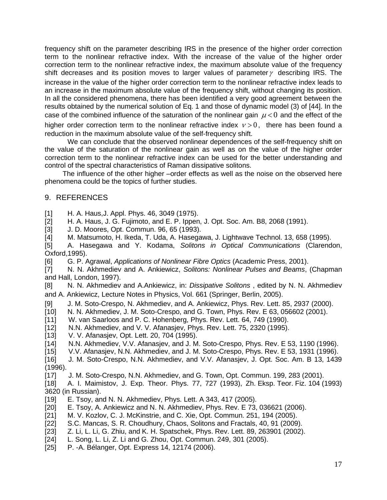frequency shift on the parameter describing IRS in the presence of the higher order correction term to the nonlinear refractive index. With the increase of the value of the higher order correction term to the nonlinear refractive index, the maximum absolute value of the frequency shift decreases and its position moves to larger values of parameter  $\gamma$  describing IRS. The increase in the value of the higher order correction term to the nonlinear refractive index leads to an increase in the maximum absolute value of the frequency shift, without changing its position. In all the considered phenomena, there has been identified a very good agreement between the results obtained by the numerical solution of Eq. 1 and those of dynamic model (3) of [44]. In the case of the combined influence of the saturation of the nonlinear gain  $\mu < 0$  and the effect of the

higher order correction term to the nonlinear refractive index  $v > 0$ , there has been found a reduction in the maximum absolute value of the self-frequency shift.

We can conclude that the observed nonlinear dependences of the self-frequency shift on the value of the saturation of the nonlinear gain as well as on the value of the higher order correction term to the nonlinear refractive index can be used for the better understanding and control of the spectral characteristics of Raman dissipative solitons.

The influence of the other higher –order effects as well as the noise on the observed here phenomena could be the topics of further studies.

#### 9. REFERENCES

[1] H. A. Haus,J. Appl. Phys. 46, 3049 (1975).

[2] H. A. Haus, J. G. Fujimoto, and E. P. Ippen, J. Opt. Soc. Am. B8, 2068 (1991).

[3] J. D. Moores, Opt. Commun. 96, 65 (1993).

[4] M. Matsumoto, H. Ikeda, T. Uda, A. Hasegawa, J. Lightwave Technol. 13, 658 (1995).

[5] A. Hasegawa and Y. Kodama, *Solitons in Optical Communications* (Clarendon, Oxford,1995).

[6] G. P. Agrawal, *Applications of Nonlinear Fibre Optics* (Academic Press, 2001).

[7] N. N. Akhmediev and A. Ankiewicz, *Solitons: Nonlinear Pulses and Beams*, (Chapman and Hall, London, 1997).

[8] N. N. Akhmediev and A.Ankiewicz, in: *Dissipative Solitons* , edited by N. N. Akhmediev and A. Ankiewicz, Lecture Notes in Physics, Vol. 661 (Springer, Berlin, 2005).

- [9] J. M. Soto-Crespo, N. Akhmediev, and A. Ankiewicz, Phys. Rev. Lett. 85, 2937 (2000).
- [10] N. N. Akhmediev, J. M. Soto-Crespo, and G. Town, Phys. Rev. E 63, 056602 (2001).
- [11] W. van Saarloos and P. C. Hohenberg, Phys. Rev. Lett. 64, 749 (1990).
- [12] N.N. Akhmediev, and V. V. Afanasjev, Phys. Rev. Lett. 75, 2320 (1995).
- [13] V. V. Afanasjev, Opt. Lett. 20, 704 (1995).
- [14] N.N. Akhmediev, V.V. Afanasjev, and J. M. Soto-Crespo, Phys. Rev. E 53, 1190 (1996).
- [15] V.V. Afanasjev, N.N. Akhmediev, and J. M. Soto-Crespo, Phys. Rev. E 53, 1931 (1996).
- [16] J. M. Soto-Crespo, N.N. Akhmediev, and V.V. Afanasjev, J. Opt. Soc. Am. B 13, 1439 (1996).
- [17] J. M. Soto-Crespo, N.N. Akhmediev, and G. Town, Opt. Commun. 199, 283 (2001).

[18] A. I. Maimistov, J. Exp. Theor. Phys. 77, 727 (1993), Zh. Eksp. Teor. Fiz. 104 (1993) 3620 (in Russian).

- [19] E. Tsoy, and N. N. Akhmediev, Phys. Lett. A 343, 417 (2005).
- [20] E. Tsoy, A. Ankiewicz and N. N. Akhmediev, Phys. Rev. E 73, 036621 (2006).
- [21] M. V. Kozlov, C. J. McKinstrie, and C. Xie, Opt. Commun. 251, 194 (2005).
- [22] S.C. Mancas, [S. R. Choudhury,](https://www.researchgate.net/researcher/69641309_S_Roy_Choudhury/) Chaos, Solitons and Fractals, 40, 91 (2009).
- [23] Z. Li, L. Li, G. Zhiu, and K. H. Spatschek, Phys. Rev. Lett. 89, 263901 (2002).
- [24] L. Song, L. Li, Z. Li and G. Zhou, Opt. Commun. 249, 301 (2005).
- [25] P. -A. Bélanger, Opt. Express 14, 12174 (2006).